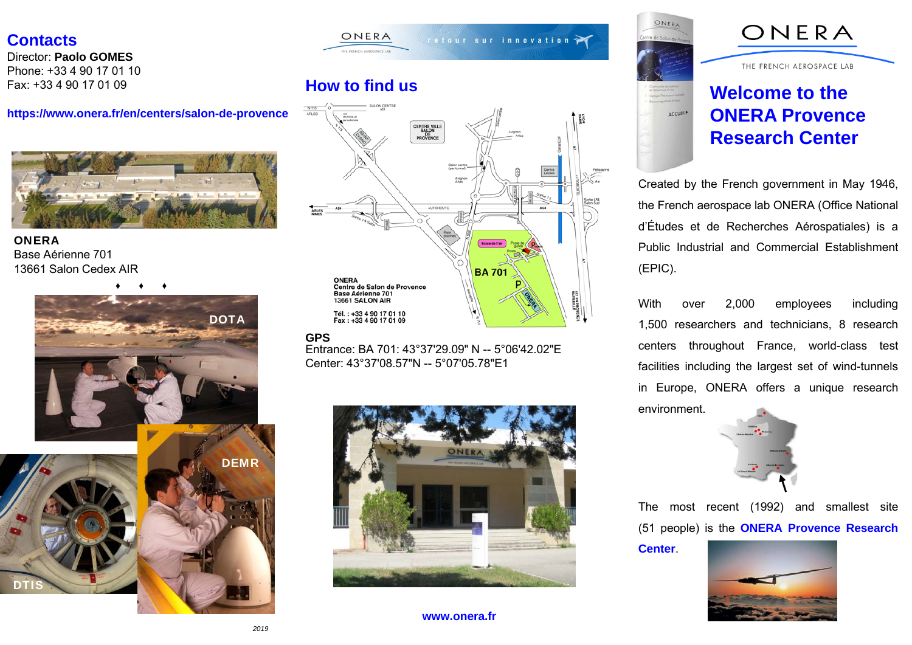### **Contacts**

Director: **Paolo GOMES**Phone: +33 4 90 17 01 10Fax: +33 4 90 17 01 09

#### **https://www.onera.fr/en/centers/salon-de-provence**



#### **ONFRA** Base Aérienne 70113661 Salon Cedex AIR





## **How to find us**



#### **GPS**

 Entrance: BA 701: 43°37'29.09" N -- 5°06'42.02"ECenter: 43°37'08.57"N -- 5°07'05.78"E1



**www.onera.fr**



**ACCUEIL** 

# ONERA

THE FRENCH AEROSPACE LAB

# **Welcome to the ONERA Provence Research Center**

Created by the French government in May 1946, the French aerospace lab ONERA (Office National d'Études et de Recherches Aérospatiales) is <sup>a</sup> Public Industrial and Commercial Establishment(EPIC).

With over 2,000 employees including 1,500 researchers and technicians, 8 research centers throughout France, world-class test facilities including the largest set of wind-tunnels in Europe, ONERA offers <sup>a</sup> unique research environment.



The most recent (1992) and smallest site (51 people) is the **ONERA Provence Research**

**Center**.